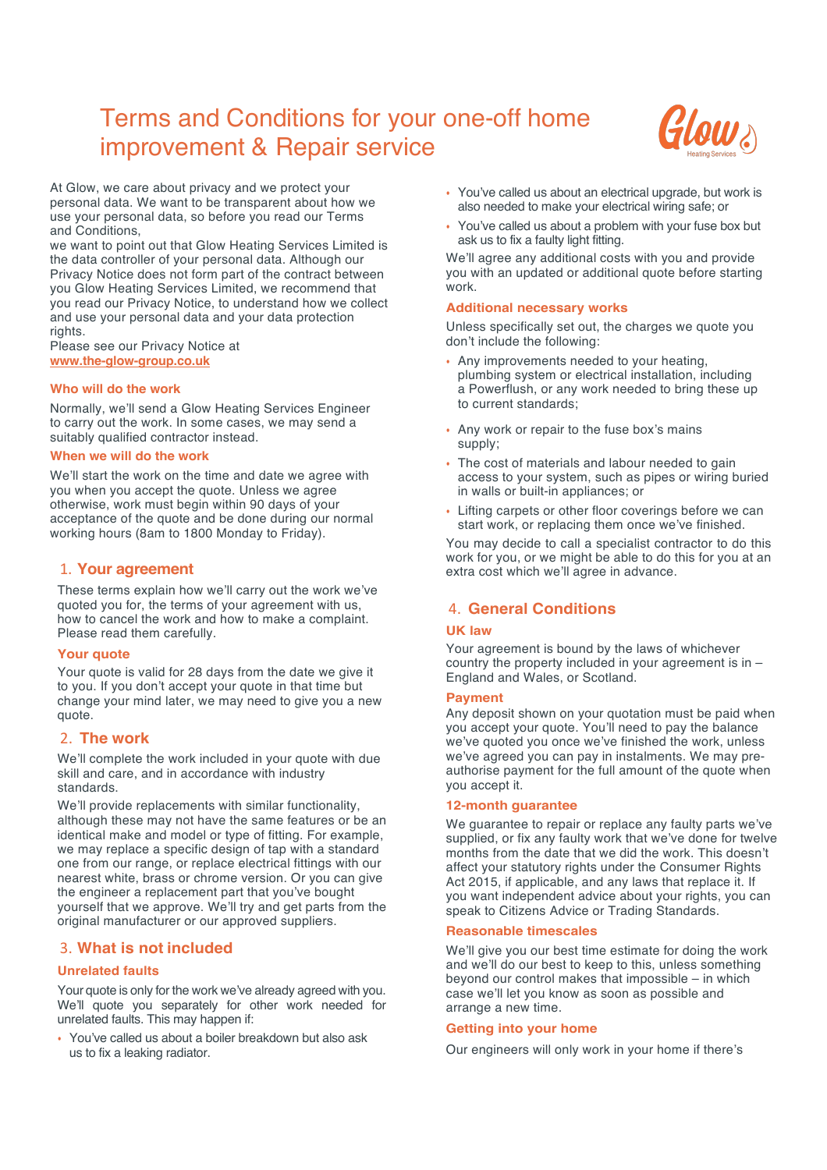# Terms and Conditions for your one-off home improvement & Repair service



At Glow, we care about privacy and we protect your personal data. We want to be transparent about how we use your personal data, so before you read our Terms and Conditions,

we want to point out that Glow Heating Services Limited is the data controller of your personal data. Although our Privacy Notice does not form part of the contract between you Glow Heating Services Limited, we recommend that you read our Privacy Notice, to understand how we collect and use your personal data and your data protection rights.

Please see our Privacy Notice at **www.the-glow-group.co.uk**

# **Who will do the work**

Normally, we'll send a Glow Heating Services Engineer to carry out the work. In some cases, we may send a suitably qualified contractor instead.

## **When we will do the work**

We'll start the work on the time and date we agree with you when you accept the quote. Unless we agree otherwise, work must begin within 90 days of your acceptance of the quote and be done during our normal working hours (8am to 1800 Monday to Friday).

# 1. **Your agreement**

These terms explain how we'll carry out the work we've quoted you for, the terms of your agreement with us, how to cancel the work and how to make a complaint. Please read them carefully.

# **Your quote**

Your quote is valid for 28 days from the date we give it to you. If you don't accept your quote in that time but change your mind later, we may need to give you a new quote.

# 2. **The work**

We'll complete the work included in your quote with due skill and care, and in accordance with industry standards.

We'll provide replacements with similar functionality, although these may not have the same features or be an identical make and model or type of fitting. For example, we may replace a specific design of tap with a standard one from our range, or replace electrical fittings with our nearest white, brass or chrome version. Or you can give the engineer a replacement part that you've bought yourself that we approve. We'll try and get parts from the original manufacturer or our approved suppliers.

# 3. **What is not included**

# **Unrelated faults**

Your quote is only for the work we've already agreed with you. We'll quote you separately for other work needed for unrelated faults. This may happen if:

• You've called us about a boiler breakdown but also ask us to fix a leaking radiator.

- You've called us about an electrical upgrade, but work is also needed to make your electrical wiring safe; or
- You've called us about a problem with your fuse box but ask us to fix a faulty light fitting.

We'll agree any additional costs with you and provide you with an updated or additional quote before starting work.

## **Additional necessary works**

Unless specifically set out, the charges we quote you don't include the following:

- Any improvements needed to your heating, plumbing system or electrical installation, including a Powerflush, or any work needed to bring these up to current standards;
- Any work or repair to the fuse box's mains supply;
- The cost of materials and labour needed to gain access to your system, such as pipes or wiring buried in walls or built-in appliances; or
- Lifting carpets or other floor coverings before we can start work, or replacing them once we've finished.

You may decide to call a specialist contractor to do this work for you, or we might be able to do this for you at an extra cost which we'll agree in advance.

# 4. **General Conditions**

# **UK law**

Your agreement is bound by the laws of whichever country the property included in your agreement is in – England and Wales, or Scotland.

## **Payment**

Any deposit shown on your quotation must be paid when you accept your quote. You'll need to pay the balance we've quoted you once we've finished the work, unless we've agreed you can pay in instalments. We may preauthorise payment for the full amount of the quote when you accept it.

# **12-month guarantee**

We guarantee to repair or replace any faulty parts we've supplied, or fix any faulty work that we've done for twelve months from the date that we did the work. This doesn't affect your statutory rights under the Consumer Rights Act 2015, if applicable, and any laws that replace it. If you want independent advice about your rights, you can speak to Citizens Advice or Trading Standards.

## **Reasonable timescales**

We'll give you our best time estimate for doing the work and we'll do our best to keep to this, unless something beyond our control makes that impossible – in which case we'll let you know as soon as possible and arrange a new time.

# **Getting into your home**

Our engineers will only work in your home if there's